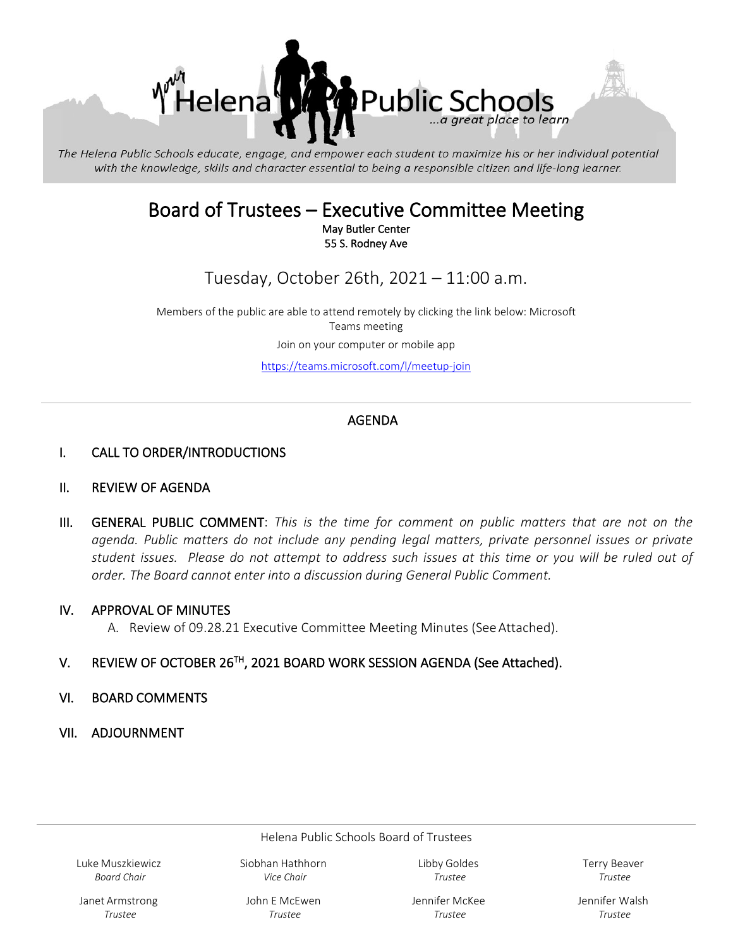

The Helena Public Schools educate, engage, and empower each student to maximize his or her individual potential with the knowledge, skills and character essential to being a responsible citizen and life-long learner.

# Board of Trustees – Executive Committee Meeting<br>May Butler Center

55 S. Rodney Ave

Tuesday, October 26th, 2021 – 11:00 a.m.

Members of the public are able to attend remotely by clicking the link below: Microsoft Teams meeting Join on your computer or mobile app

[https://teams.microsoft.com/l/meetup-join](https://teams.microsoft.com/l/meetup-join/19%3ameeting_YWQyMWRiZjMtOGRhZS00MTBmLWFkZWEtODBiMTY3NTY2ZWIw%40thread.v2/0?context=%7b%22Tid%22%3a%22f4b4f9cd-c417-4e65-8143-10d0fe789053%22%2c%22Oid%22%3a%2200568965-fcfe-44b0-b7cc-997c288febfa%22%7d)

### AGENDA

#### I. CALL TO ORDER/INTRODUCTIONS

#### II. REVIEW OF AGENDA

III. GENERAL PUBLIC COMMENT: *This is the time for comment on public matters that are not on the agenda. Public matters do not include any pending legal matters, private personnel issues or private student issues. Please do not attempt to address such issues at this time or you will be ruled out of order. The Board cannot enter into a discussion during General Public Comment.*

#### IV. APPROVAL OF MINUTES

A. Review of 09.28.21 Executive Committee Meeting Minutes (See Attached).

#### V. REVIEW OF OCTOBER 26TH, 2021 BOARD WORK SESSION AGENDA (See Attached).

#### VI. BOARD COMMENTS

VII. ADJOURNMENT

Helena Public Schools Board of Trustees

Luke Muszkiewicz *Board Chair* 

Siobhan Hathhorn *Vice Chair*

Libby Goldes *Trustee*

Terry Beaver *Trustee*

Janet Armstrong *Trustee*

John E McEwen *Trustee* 

Jennifer McKee *Trustee*

Jennifer Walsh *Trustee*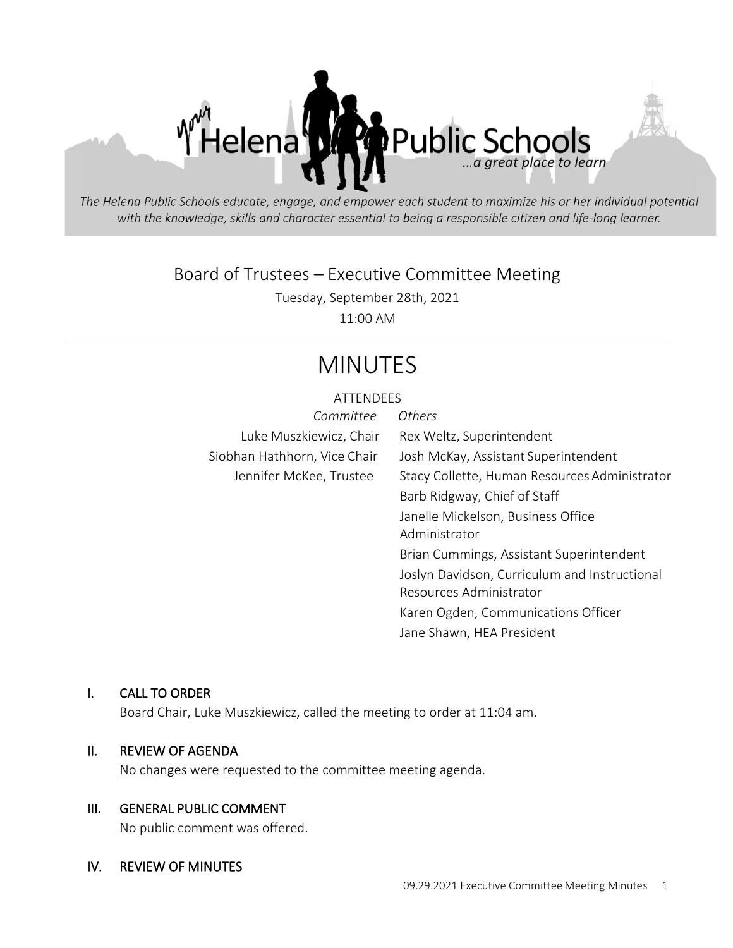

The Helena Public Schools educate, engage, and empower each student to maximize his or her individual potential with the knowledge, skills and character essential to being a responsible citizen and life-long learner.

# Board of Trustees – Executive Committee Meeting

Tuesday, September 28th, 2021

11:00 AM

# MINUTES

#### **ATTENDEES**

| Committee                    | <b>Others</b>                                 |
|------------------------------|-----------------------------------------------|
| Luke Muszkiewicz, Chair      | Rex Weltz, Superintendent                     |
| Siobhan Hathhorn, Vice Chair | Josh McKay, Assistant Superintendent          |
| Jennifer McKee, Trustee      | Stacy Collette, Human Resources Administrator |
|                              | Barb Ridgway, Chief of Staff                  |
|                              | Janelle Mickelson, Business Office            |
|                              | Administrator                                 |
|                              | Brian Cummings, Assistant Superintendent      |
|                              | Joslyn Davidson, Curriculum and Instructional |
|                              | Resources Administrator                       |
|                              | Karen Ogden, Communications Officer           |

Jane Shawn, HEA President

#### I. CALL TO ORDER

Board Chair, Luke Muszkiewicz, called the meeting to order at 11:04 am.

#### II. REVIEW OF AGENDA

No changes were requested to the committee meeting agenda.

#### III. GENERAL PUBLIC COMMENT

No public comment was offered.

#### IV. REVIEW OF MINUTES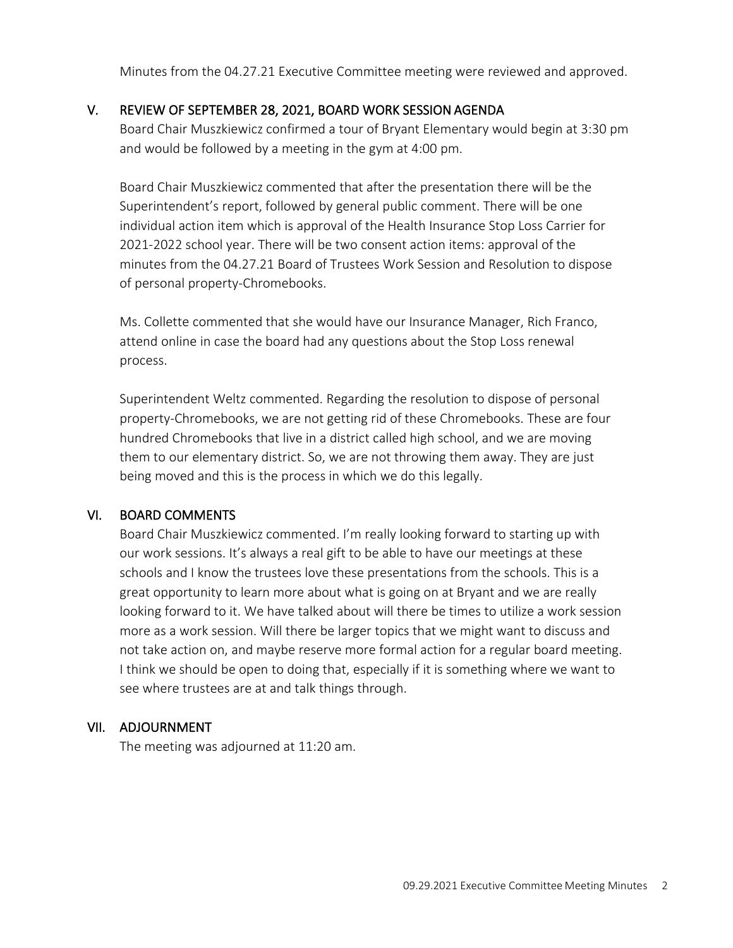Minutes from the 04.27.21 Executive Committee meeting were reviewed and approved.

#### V. REVIEW OF SEPTEMBER 28, 2021, BOARD WORK SESSION AGENDA

Board Chair Muszkiewicz confirmed a tour of Bryant Elementary would begin at 3:30 pm and would be followed by a meeting in the gym at 4:00 pm.

Board Chair Muszkiewicz commented that after the presentation there will be the Superintendent's report, followed by general public comment. There will be one individual action item which is approval of the Health Insurance Stop Loss Carrier for 2021-2022 school year. There will be two consent action items: approval of the minutes from the 04.27.21 Board of Trustees Work Session and Resolution to dispose of personal property-Chromebooks.

Ms. Collette commented that she would have our Insurance Manager, Rich Franco, attend online in case the board had any questions about the Stop Loss renewal process.

Superintendent Weltz commented. Regarding the resolution to dispose of personal property-Chromebooks, we are not getting rid of these Chromebooks. These are four hundred Chromebooks that live in a district called high school, and we are moving them to our elementary district. So, we are not throwing them away. They are just being moved and this is the process in which we do this legally.

#### VI. BOARD COMMENTS

Board Chair Muszkiewicz commented. I'm really looking forward to starting up with our work sessions. It's always a real gift to be able to have our meetings at these schools and I know the trustees love these presentations from the schools. This is a great opportunity to learn more about what is going on at Bryant and we are really looking forward to it. We have talked about will there be times to utilize a work session more as a work session. Will there be larger topics that we might want to discuss and not take action on, and maybe reserve more formal action for a regular board meeting. I think we should be open to doing that, especially if it is something where we want to see where trustees are at and talk things through.

#### VII. ADJOURNMENT

The meeting was adjourned at 11:20 am.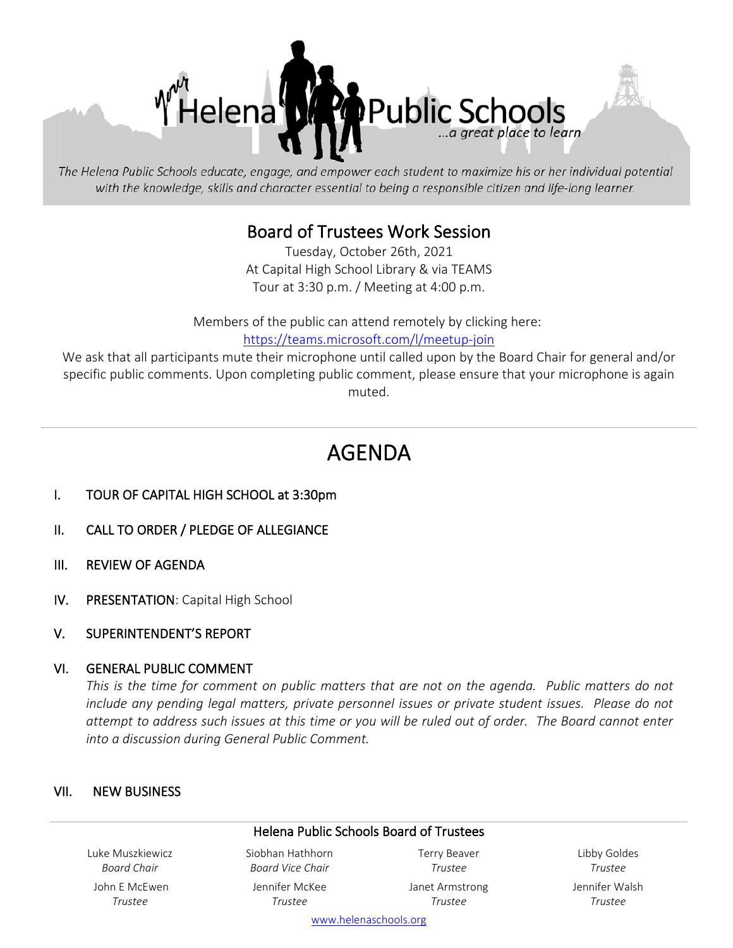

The Helena Public Schools educate, engage, and empower each student to maximize his or her individual potential with the knowledge, skills and character essential to being a responsible citizen and life-long learner.

# Board of Trustees Work Session Tuesday, October 26th, 2021

At Capital High School Library & via TEAMS Tour at 3:30 p.m. / Meeting at 4:00 p.m.

Members of the public can attend remotely by clicking here: [https://teams.microsoft.com/l/meetup-join](https://teams.microsoft.com/l/meetup-join/19%3ameeting_MWIxNThjZTQtMGRjOC00OGU2LWFkNTMtNGMyNzM0NTk1OTk4%40thread.v2/0?context=%7b%22Tid%22%3a%22f4b4f9cd-c417-4e65-8143-10d0fe789053%22%2c%22Oid%22%3a%2200568965-fcfe-44b0-b7cc-997c288febfa%22%7d)

We ask that all participants mute their microphone until called upon by the Board Chair for general and/or specific public comments. Upon completing public comment, please ensure that your microphone is again muted.

# AGENDA

- I. TOUR OF CAPITAL HIGH SCHOOL at 3:30pm
- II. CALL TO ORDER / PLEDGE OF ALLEGIANCE
- III. REVIEW OF AGENDA
- IV. PRESENTATION: Capital High School
- V. SUPERINTENDENT'S REPORT

#### VI. GENERAL PUBLIC COMMENT

*This is the time for comment on public matters that are not on the agenda. Public matters do not include any pending legal matters, private personnel issues or private student issues. Please do not attempt to address such issues at this time or you will be ruled out of order. The Board cannot enter into a discussion during General Public Comment.*

#### VII. NEW BUSINESS

#### Helena Public Schools Board of Trustees

Luke Muszkiewicz *Board Chair* John E McEwen *Trustee*

Siobhan Hathhorn *Board Vice Chair* Jennifer McKee

*Trustee*

Terry Beaver *Trustee* Janet Armstrong *Trustee*

Libby Goldes *Trustee* Jennifer Walsh *Trustee*

[www.helenaschools.org](http://www.helenaschools.org/)